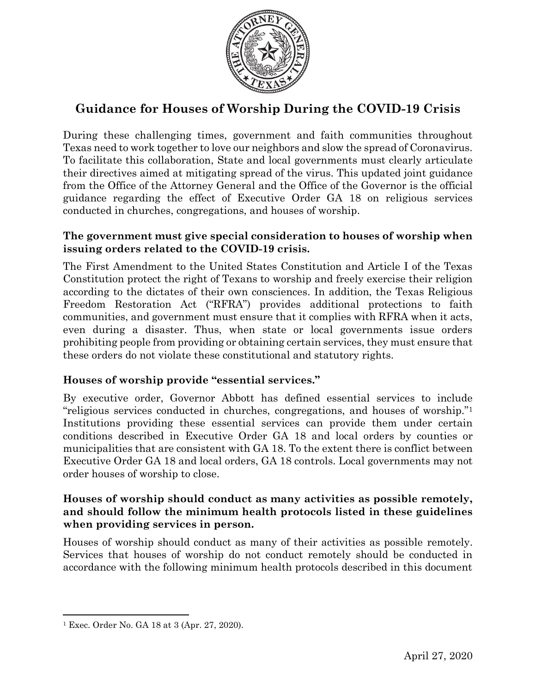

# **Guidance for Houses of Worship During the COVID-19 Crisis**

During these challenging times, government and faith communities throughout Texas need to work together to love our neighbors and slow the spread of Coronavirus. To facilitate this collaboration, State and local governments must clearly articulate their directives aimed at mitigating spread of the virus. This updated joint guidance from the Office of the Attorney General and the Office of the Governor is the official guidance regarding the effect of Executive Order GA 18 on religious services conducted in churches, congregations, and houses of worship.

#### **The government must give special consideration to houses of worship when issuing orders related to the COVID-19 crisis.**

The First Amendment to the United States Constitution and Article I of the Texas Constitution protect the right of Texans to worship and freely exercise their religion according to the dictates of their own consciences. In addition, the Texas Religious Freedom Restoration Act ("RFRA") provides additional protections to faith communities, and government must ensure that it complies with RFRA when it acts, even during a disaster. Thus, when state or local governments issue orders prohibiting people from providing or obtaining certain services, they must ensure that these orders do not violate these constitutional and statutory rights.

## **Houses of worship provide "essential services."**

By executive order, Governor Abbott has defined essential services to include "religious services conducted in churches, congregations, and houses of worship."<sup>1</sup> Institutions providing these essential services can provide them under certain conditions described in Executive Order GA 18 and local orders by counties or municipalities that are consistent with GA 18. To the extent there is conflict between Executive Order GA 18 and local orders, GA 18 controls. Local governments may not order houses of worship to close.

#### **Houses of worship should conduct as many activities as possible remotely, and should follow the minimum health protocols listed in these guidelines when providing services in person.**

Houses of worship should conduct as many of their activities as possible remotely. Services that houses of worship do not conduct remotely should be conducted in accordance with the following minimum health protocols described in this document

l

<sup>1</sup> Exec. Order No. GA 18 at 3 (Apr. 27, 2020).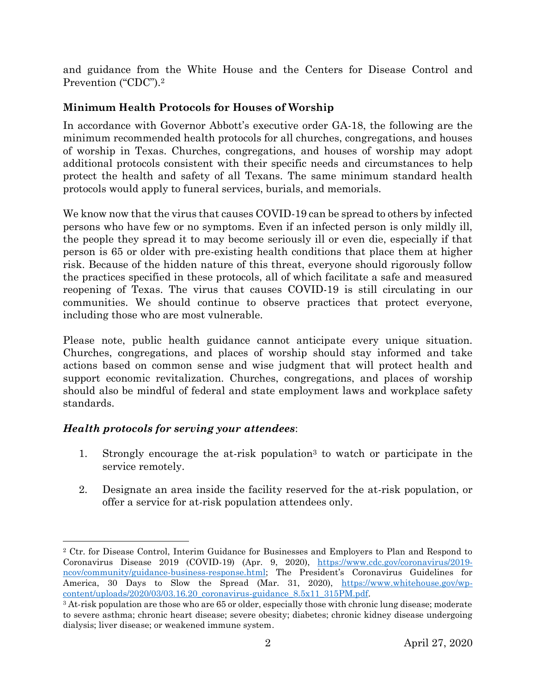and guidance from the White House and the Centers for Disease Control and Prevention ("CDC").<sup>2</sup>

# **Minimum Health Protocols for Houses of Worship**

In accordance with Governor Abbott's executive order GA-18, the following are the minimum recommended health protocols for all churches, congregations, and houses of worship in Texas. Churches, congregations, and houses of worship may adopt additional protocols consistent with their specific needs and circumstances to help protect the health and safety of all Texans. The same minimum standard health protocols would apply to funeral services, burials, and memorials.

We know now that the virus that causes COVID-19 can be spread to others by infected persons who have few or no symptoms. Even if an infected person is only mildly ill, the people they spread it to may become seriously ill or even die, especially if that person is 65 or older with pre-existing health conditions that place them at higher risk. Because of the hidden nature of this threat, everyone should rigorously follow the practices specified in these protocols, all of which facilitate a safe and measured reopening of Texas. The virus that causes COVID-19 is still circulating in our communities. We should continue to observe practices that protect everyone, including those who are most vulnerable.

Please note, public health guidance cannot anticipate every unique situation. Churches, congregations, and places of worship should stay informed and take actions based on common sense and wise judgment that will protect health and support economic revitalization. Churches, congregations, and places of worship should also be mindful of federal and state employment laws and workplace safety standards.

## *Health protocols for serving your attendees*:

 $\overline{a}$ 

- 1. Strongly encourage the at-risk population<sup>3</sup> to watch or participate in the service remotely.
- 2. Designate an area inside the facility reserved for the at-risk population, or offer a service for at-risk population attendees only.

<sup>2</sup> Ctr. for Disease Control, Interim Guidance for Businesses and Employers to Plan and Respond to Coronavirus Disease 2019 (COVID-19) (Apr. 9, 2020), [https://www.cdc.gov/coronavirus/2019](https://www.cdc.gov/coronavirus/2019-ncov/community/guidance-business-response.html) [ncov/community/guidance-business-response.html;](https://www.cdc.gov/coronavirus/2019-ncov/community/guidance-business-response.html) The President's Coronavirus Guidelines for America, 30 Days to Slow the Spread (Mar. 31, 2020), [https://www.whitehouse.gov/wp](https://www.whitehouse.gov/wp-content/uploads/2020/03/03.16.20_coronavirus-guidance_8.5x11_315PM.pdf)[content/uploads/2020/03/03.16.20\\_coronavirus-guidance\\_8.5x11\\_315PM.pdf.](https://www.whitehouse.gov/wp-content/uploads/2020/03/03.16.20_coronavirus-guidance_8.5x11_315PM.pdf)

<sup>3</sup> At-risk population are those who are 65 or older, especially those with chronic lung disease; moderate to severe asthma; chronic heart disease; severe obesity; diabetes; chronic kidney disease undergoing dialysis; liver disease; or weakened immune system.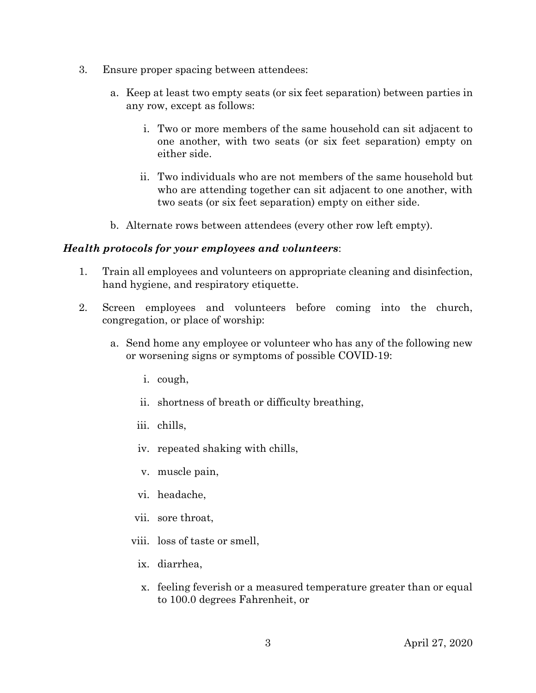- 3. Ensure proper spacing between attendees:
	- a. Keep at least two empty seats (or six feet separation) between parties in any row, except as follows:
		- i. Two or more members of the same household can sit adjacent to one another, with two seats (or six feet separation) empty on either side.
		- ii. Two individuals who are not members of the same household but who are attending together can sit adjacent to one another, with two seats (or six feet separation) empty on either side.
	- b. Alternate rows between attendees (every other row left empty).

#### *Health protocols for your employees and volunteers*:

- 1. Train all employees and volunteers on appropriate cleaning and disinfection, hand hygiene, and respiratory etiquette.
- 2. Screen employees and volunteers before coming into the church, congregation, or place of worship:
	- a. Send home any employee or volunteer who has any of the following new or worsening signs or symptoms of possible COVID-19:
		- i. cough,
		- ii. shortness of breath or difficulty breathing,
		- iii. chills,
		- iv. repeated shaking with chills,
		- v. muscle pain,
		- vi. headache,
		- vii. sore throat,
		- viii. loss of taste or smell,
			- ix. diarrhea,
			- x. feeling feverish or a measured temperature greater than or equal to 100.0 degrees Fahrenheit, or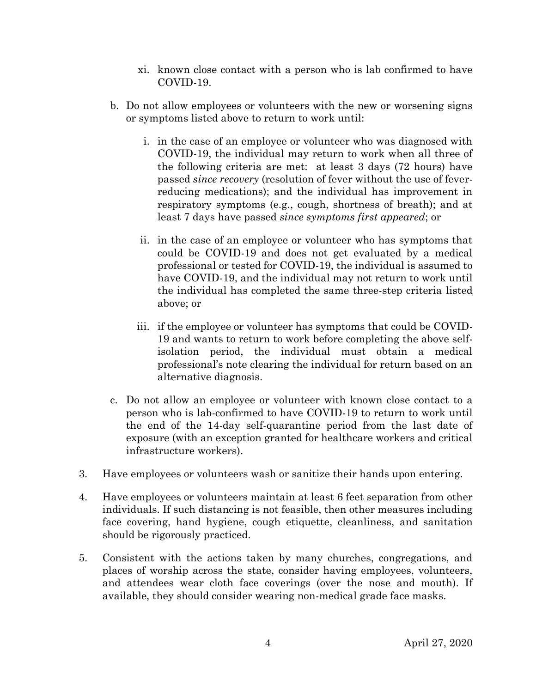- xi. known close contact with a person who is lab confirmed to have COVID-19.
- b. Do not allow employees or volunteers with the new or worsening signs or symptoms listed above to return to work until:
	- i. in the case of an employee or volunteer who was diagnosed with COVID-19, the individual may return to work when all three of the following criteria are met: at least 3 days (72 hours) have passed *since recovery* (resolution of fever without the use of feverreducing medications); and the individual has improvement in respiratory symptoms (e.g., cough, shortness of breath); and at least 7 days have passed *since symptoms first appeared*; or
	- ii. in the case of an employee or volunteer who has symptoms that could be COVID-19 and does not get evaluated by a medical professional or tested for COVID-19, the individual is assumed to have COVID-19, and the individual may not return to work until the individual has completed the same three-step criteria listed above; or
	- iii. if the employee or volunteer has symptoms that could be COVID-19 and wants to return to work before completing the above selfisolation period, the individual must obtain a medical professional's note clearing the individual for return based on an alternative diagnosis.
- c. Do not allow an employee or volunteer with known close contact to a person who is lab-confirmed to have COVID-19 to return to work until the end of the 14-day self-quarantine period from the last date of exposure (with an exception granted for healthcare workers and critical infrastructure workers).
- 3. Have employees or volunteers wash or sanitize their hands upon entering.
- 4. Have employees or volunteers maintain at least 6 feet separation from other individuals. If such distancing is not feasible, then other measures including face covering, hand hygiene, cough etiquette, cleanliness, and sanitation should be rigorously practiced.
- 5. Consistent with the actions taken by many churches, congregations, and places of worship across the state, consider having employees, volunteers, and attendees wear cloth face coverings (over the nose and mouth). If available, they should consider wearing non-medical grade face masks.